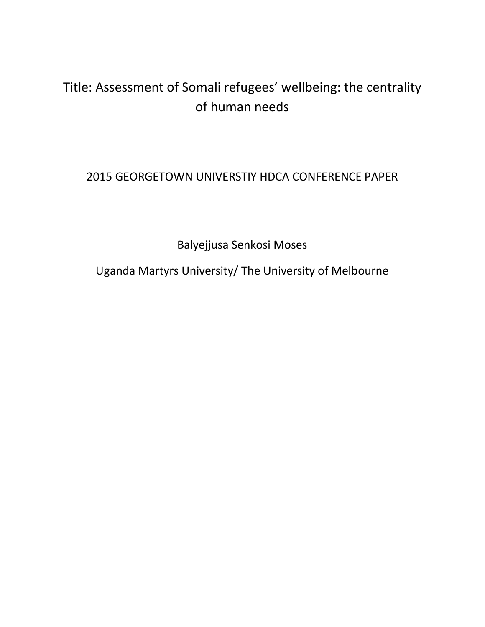# Title: Assessment of Somali refugees' wellbeing: the centrality of human needs

## 2015 GEORGETOWN UNIVERSTIY HDCA CONFERENCE PAPER

Balyejjusa Senkosi Moses

Uganda Martyrs University/ The University of Melbourne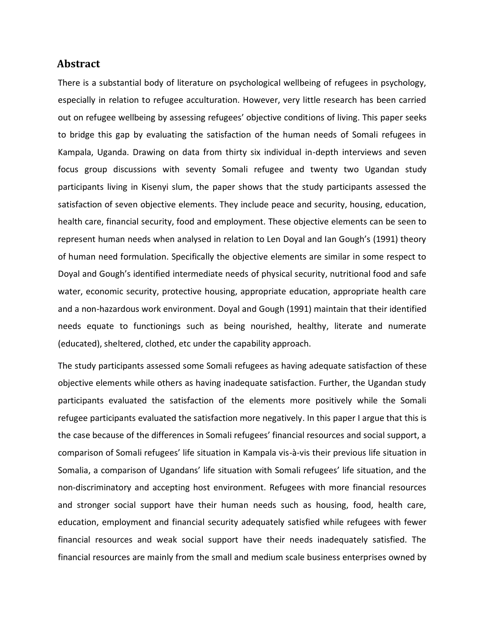## **Abstract**

There is a substantial body of literature on psychological wellbeing of refugees in psychology, especially in relation to refugee acculturation. However, very little research has been carried out on refugee wellbeing by assessing refugees' objective conditions of living. This paper seeks to bridge this gap by evaluating the satisfaction of the human needs of Somali refugees in Kampala, Uganda. Drawing on data from thirty six individual in-depth interviews and seven focus group discussions with seventy Somali refugee and twenty two Ugandan study participants living in Kisenyi slum, the paper shows that the study participants assessed the satisfaction of seven objective elements. They include peace and security, housing, education, health care, financial security, food and employment. These objective elements can be seen to represent human needs when analysed in relation to Len Doyal and Ian Gough's (1991) theory of human need formulation. Specifically the objective elements are similar in some respect to Doyal and Gough's identified intermediate needs of physical security, nutritional food and safe water, economic security, protective housing, appropriate education, appropriate health care and a non-hazardous work environment. Doyal and Gough (1991) maintain that their identified needs equate to functionings such as being nourished, healthy, literate and numerate (educated), sheltered, clothed, etc under the capability approach.

The study participants assessed some Somali refugees as having adequate satisfaction of these objective elements while others as having inadequate satisfaction. Further, the Ugandan study participants evaluated the satisfaction of the elements more positively while the Somali refugee participants evaluated the satisfaction more negatively. In this paper I argue that this is the case because of the differences in Somali refugees' financial resources and social support, a comparison of Somali refugees' life situation in Kampala vis-à-vis their previous life situation in Somalia, a comparison of Ugandans' life situation with Somali refugees' life situation, and the non-discriminatory and accepting host environment. Refugees with more financial resources and stronger social support have their human needs such as housing, food, health care, education, employment and financial security adequately satisfied while refugees with fewer financial resources and weak social support have their needs inadequately satisfied. The financial resources are mainly from the small and medium scale business enterprises owned by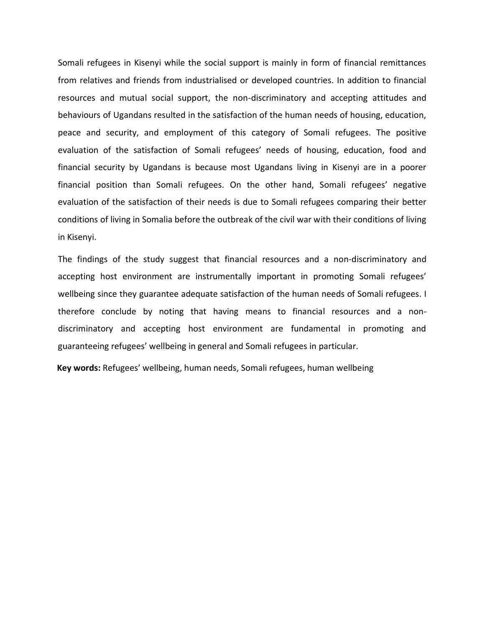Somali refugees in Kisenyi while the social support is mainly in form of financial remittances from relatives and friends from industrialised or developed countries. In addition to financial resources and mutual social support, the non-discriminatory and accepting attitudes and behaviours of Ugandans resulted in the satisfaction of the human needs of housing, education, peace and security, and employment of this category of Somali refugees. The positive evaluation of the satisfaction of Somali refugees' needs of housing, education, food and financial security by Ugandans is because most Ugandans living in Kisenyi are in a poorer financial position than Somali refugees. On the other hand, Somali refugees' negative evaluation of the satisfaction of their needs is due to Somali refugees comparing their better conditions of living in Somalia before the outbreak of the civil war with their conditions of living in Kisenyi.

The findings of the study suggest that financial resources and a non-discriminatory and accepting host environment are instrumentally important in promoting Somali refugees' wellbeing since they guarantee adequate satisfaction of the human needs of Somali refugees. I therefore conclude by noting that having means to financial resources and a nondiscriminatory and accepting host environment are fundamental in promoting and guaranteeing refugees' wellbeing in general and Somali refugees in particular.

**Key words:** Refugees' wellbeing, human needs, Somali refugees, human wellbeing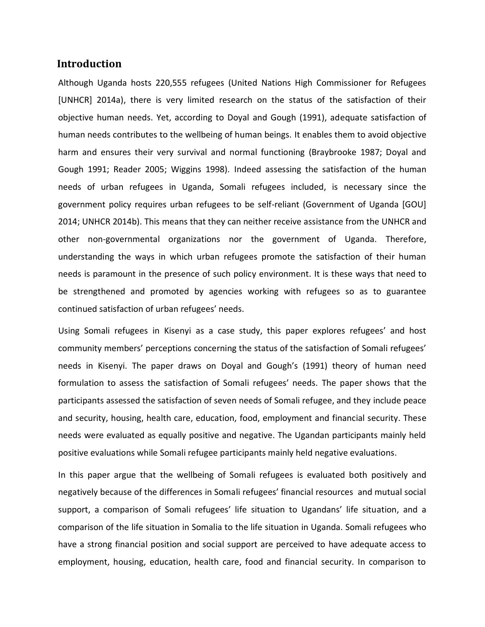## **Introduction**

Although Uganda hosts 220,555 refugees (United Nations High Commissioner for Refugees [UNHCR] 2014a), there is very limited research on the status of the satisfaction of their objective human needs. Yet, according to Doyal and Gough (1991), adequate satisfaction of human needs contributes to the wellbeing of human beings. It enables them to avoid objective harm and ensures their very survival and normal functioning (Braybrooke 1987; Doyal and Gough 1991; Reader 2005; Wiggins 1998). Indeed assessing the satisfaction of the human needs of urban refugees in Uganda, Somali refugees included, is necessary since the government policy requires urban refugees to be self-reliant (Government of Uganda [GOU] 2014; UNHCR 2014b). This means that they can neither receive assistance from the UNHCR and other non-governmental organizations nor the government of Uganda. Therefore, understanding the ways in which urban refugees promote the satisfaction of their human needs is paramount in the presence of such policy environment. It is these ways that need to be strengthened and promoted by agencies working with refugees so as to guarantee continued satisfaction of urban refugees' needs.

Using Somali refugees in Kisenyi as a case study, this paper explores refugees' and host community members' perceptions concerning the status of the satisfaction of Somali refugees' needs in Kisenyi. The paper draws on Doyal and Gough's (1991) theory of human need formulation to assess the satisfaction of Somali refugees' needs. The paper shows that the participants assessed the satisfaction of seven needs of Somali refugee, and they include peace and security, housing, health care, education, food, employment and financial security. These needs were evaluated as equally positive and negative. The Ugandan participants mainly held positive evaluations while Somali refugee participants mainly held negative evaluations.

In this paper argue that the wellbeing of Somali refugees is evaluated both positively and negatively because of the differences in Somali refugees' financial resources and mutual social support, a comparison of Somali refugees' life situation to Ugandans' life situation, and a comparison of the life situation in Somalia to the life situation in Uganda. Somali refugees who have a strong financial position and social support are perceived to have adequate access to employment, housing, education, health care, food and financial security. In comparison to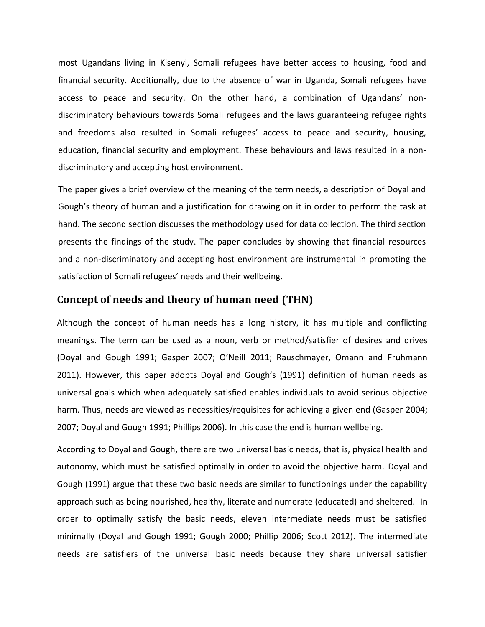most Ugandans living in Kisenyi, Somali refugees have better access to housing, food and financial security. Additionally, due to the absence of war in Uganda, Somali refugees have access to peace and security. On the other hand, a combination of Ugandans' nondiscriminatory behaviours towards Somali refugees and the laws guaranteeing refugee rights and freedoms also resulted in Somali refugees' access to peace and security, housing, education, financial security and employment. These behaviours and laws resulted in a nondiscriminatory and accepting host environment.

The paper gives a brief overview of the meaning of the term needs, a description of Doyal and Gough's theory of human and a justification for drawing on it in order to perform the task at hand. The second section discusses the methodology used for data collection. The third section presents the findings of the study. The paper concludes by showing that financial resources and a non-discriminatory and accepting host environment are instrumental in promoting the satisfaction of Somali refugees' needs and their wellbeing.

## **Concept of needs and theory of human need (THN)**

Although the concept of human needs has a long history, it has multiple and conflicting meanings. The term can be used as a noun, verb or method/satisfier of desires and drives (Doyal and Gough 1991; Gasper 2007; O'Neill 2011; Rauschmayer, Omann and Fruhmann 2011). However, this paper adopts Doyal and Gough's (1991) definition of human needs as universal goals which when adequately satisfied enables individuals to avoid serious objective harm. Thus, needs are viewed as necessities/requisites for achieving a given end (Gasper 2004; 2007; Doyal and Gough 1991; Phillips 2006). In this case the end is human wellbeing.

According to Doyal and Gough, there are two universal basic needs, that is, physical health and autonomy, which must be satisfied optimally in order to avoid the objective harm. Doyal and Gough (1991) argue that these two basic needs are similar to functionings under the capability approach such as being nourished, healthy, literate and numerate (educated) and sheltered. In order to optimally satisfy the basic needs, eleven intermediate needs must be satisfied minimally (Doyal and Gough 1991; Gough 2000; Phillip 2006; Scott 2012). The intermediate needs are satisfiers of the universal basic needs because they share universal satisfier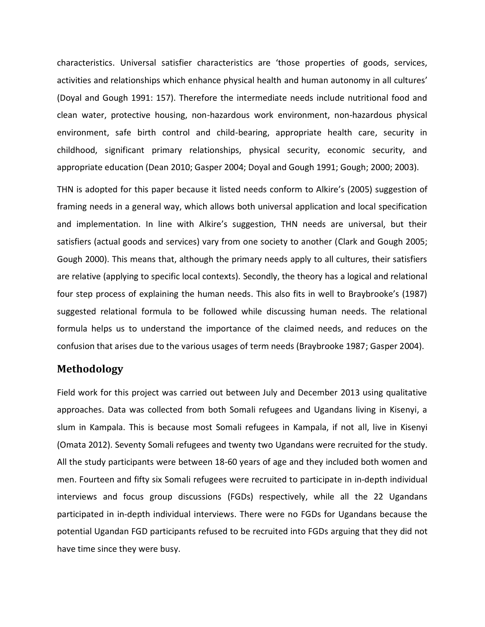characteristics. Universal satisfier characteristics are 'those properties of goods, services, activities and relationships which enhance physical health and human autonomy in all cultures' (Doyal and Gough 1991: 157). Therefore the intermediate needs include nutritional food and clean water, protective housing, non-hazardous work environment, non-hazardous physical environment, safe birth control and child-bearing, appropriate health care, security in childhood, significant primary relationships, physical security, economic security, and appropriate education (Dean 2010; Gasper 2004; Doyal and Gough 1991; Gough; 2000; 2003).

THN is adopted for this paper because it listed needs conform to Alkire's (2005) suggestion of framing needs in a general way, which allows both universal application and local specification and implementation. In line with Alkire's suggestion, THN needs are universal, but their satisfiers (actual goods and services) vary from one society to another (Clark and Gough 2005; Gough 2000). This means that, although the primary needs apply to all cultures, their satisfiers are relative (applying to specific local contexts). Secondly, the theory has a logical and relational four step process of explaining the human needs. This also fits in well to Braybrooke's (1987) suggested relational formula to be followed while discussing human needs. The relational formula helps us to understand the importance of the claimed needs, and reduces on the confusion that arises due to the various usages of term needs (Braybrooke 1987; Gasper 2004).

## **Methodology**

Field work for this project was carried out between July and December 2013 using qualitative approaches. Data was collected from both Somali refugees and Ugandans living in Kisenyi, a slum in Kampala. This is because most Somali refugees in Kampala, if not all, live in Kisenyi (Omata 2012). Seventy Somali refugees and twenty two Ugandans were recruited for the study. All the study participants were between 18-60 years of age and they included both women and men. Fourteen and fifty six Somali refugees were recruited to participate in in-depth individual interviews and focus group discussions (FGDs) respectively, while all the 22 Ugandans participated in in-depth individual interviews. There were no FGDs for Ugandans because the potential Ugandan FGD participants refused to be recruited into FGDs arguing that they did not have time since they were busy.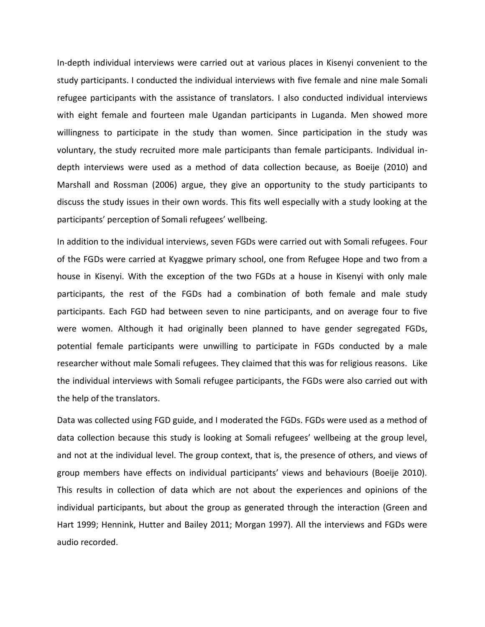In-depth individual interviews were carried out at various places in Kisenyi convenient to the study participants. I conducted the individual interviews with five female and nine male Somali refugee participants with the assistance of translators. I also conducted individual interviews with eight female and fourteen male Ugandan participants in Luganda. Men showed more willingness to participate in the study than women. Since participation in the study was voluntary, the study recruited more male participants than female participants. Individual indepth interviews were used as a method of data collection because, as Boeije (2010) and Marshall and Rossman (2006) argue, they give an opportunity to the study participants to discuss the study issues in their own words. This fits well especially with a study looking at the participants' perception of Somali refugees' wellbeing.

In addition to the individual interviews, seven FGDs were carried out with Somali refugees. Four of the FGDs were carried at Kyaggwe primary school, one from Refugee Hope and two from a house in Kisenyi. With the exception of the two FGDs at a house in Kisenyi with only male participants, the rest of the FGDs had a combination of both female and male study participants. Each FGD had between seven to nine participants, and on average four to five were women. Although it had originally been planned to have gender segregated FGDs, potential female participants were unwilling to participate in FGDs conducted by a male researcher without male Somali refugees. They claimed that this was for religious reasons. Like the individual interviews with Somali refugee participants, the FGDs were also carried out with the help of the translators.

Data was collected using FGD guide, and I moderated the FGDs. FGDs were used as a method of data collection because this study is looking at Somali refugees' wellbeing at the group level, and not at the individual level. The group context, that is, the presence of others, and views of group members have effects on individual participants' views and behaviours (Boeije 2010). This results in collection of data which are not about the experiences and opinions of the individual participants, but about the group as generated through the interaction (Green and Hart 1999; Hennink, Hutter and Bailey 2011; Morgan 1997). All the interviews and FGDs were audio recorded.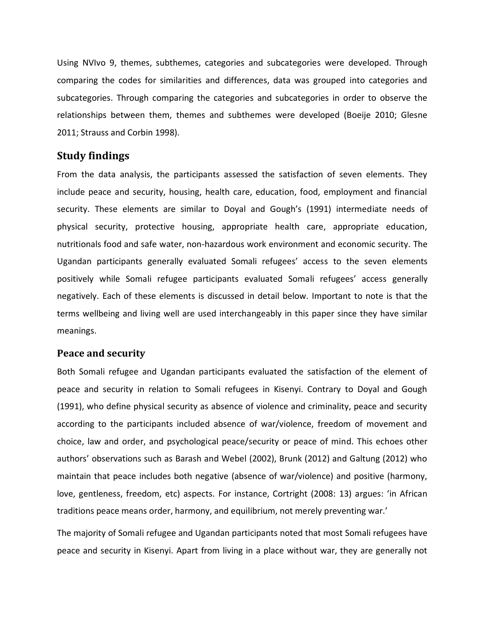Using NVIvo 9, themes, subthemes, categories and subcategories were developed. Through comparing the codes for similarities and differences, data was grouped into categories and subcategories. Through comparing the categories and subcategories in order to observe the relationships between them, themes and subthemes were developed (Boeije 2010; Glesne 2011; Strauss and Corbin 1998).

## **Study findings**

From the data analysis, the participants assessed the satisfaction of seven elements. They include peace and security, housing, health care, education, food, employment and financial security. These elements are similar to Doyal and Gough's (1991) intermediate needs of physical security, protective housing, appropriate health care, appropriate education, nutritionals food and safe water, non-hazardous work environment and economic security. The Ugandan participants generally evaluated Somali refugees' access to the seven elements positively while Somali refugee participants evaluated Somali refugees' access generally negatively. Each of these elements is discussed in detail below. Important to note is that the terms wellbeing and living well are used interchangeably in this paper since they have similar meanings.

## **Peace and security**

Both Somali refugee and Ugandan participants evaluated the satisfaction of the element of peace and security in relation to Somali refugees in Kisenyi. Contrary to Doyal and Gough (1991), who define physical security as absence of violence and criminality, peace and security according to the participants included absence of war/violence, freedom of movement and choice, law and order, and psychological peace/security or peace of mind. This echoes other authors' observations such as Barash and Webel (2002), Brunk (2012) and Galtung (2012) who maintain that peace includes both negative (absence of war/violence) and positive (harmony, love, gentleness, freedom, etc) aspects. For instance, Cortright (2008: 13) argues: 'in African traditions peace means order, harmony, and equilibrium, not merely preventing war.'

The majority of Somali refugee and Ugandan participants noted that most Somali refugees have peace and security in Kisenyi. Apart from living in a place without war, they are generally not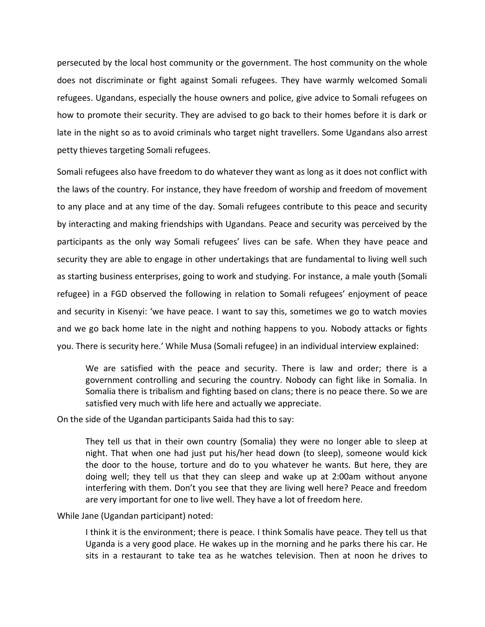persecuted by the local host community or the government. The host community on the whole does not discriminate or fight against Somali refugees. They have warmly welcomed Somali refugees. Ugandans, especially the house owners and police, give advice to Somali refugees on how to promote their security. They are advised to go back to their homes before it is dark or late in the night so as to avoid criminals who target night travellers. Some Ugandans also arrest petty thieves targeting Somali refugees.

Somali refugees also have freedom to do whatever they want as long as it does not conflict with the laws of the country. For instance, they have freedom of worship and freedom of movement to any place and at any time of the day. Somali refugees contribute to this peace and security by interacting and making friendships with Ugandans. Peace and security was perceived by the participants as the only way Somali refugees' lives can be safe. When they have peace and security they are able to engage in other undertakings that are fundamental to living well such as starting business enterprises, going to work and studying. For instance, a male youth (Somali refugee) in a FGD observed the following in relation to Somali refugees' enjoyment of peace and security in Kisenyi: 'we have peace. I want to say this, sometimes we go to watch movies and we go back home late in the night and nothing happens to you. Nobody attacks or fights you. There is security here.' While Musa (Somali refugee) in an individual interview explained:

We are satisfied with the peace and security. There is law and order; there is a government controlling and securing the country. Nobody can fight like in Somalia. In Somalia there is tribalism and fighting based on clans; there is no peace there. So we are satisfied very much with life here and actually we appreciate.

On the side of the Ugandan participants Saida had this to say:

They tell us that in their own country (Somalia) they were no longer able to sleep at night. That when one had just put his/her head down (to sleep), someone would kick the door to the house, torture and do to you whatever he wants. But here, they are doing well; they tell us that they can sleep and wake up at 2:00am without anyone interfering with them. Don't you see that they are living well here? Peace and freedom are very important for one to live well. They have a lot of freedom here.

While Jane (Ugandan participant) noted:

I think it is the environment; there is peace. I think Somalis have peace. They tell us that Uganda is a very good place. He wakes up in the morning and he parks there his car. He sits in a restaurant to take tea as he watches television. Then at noon he drives to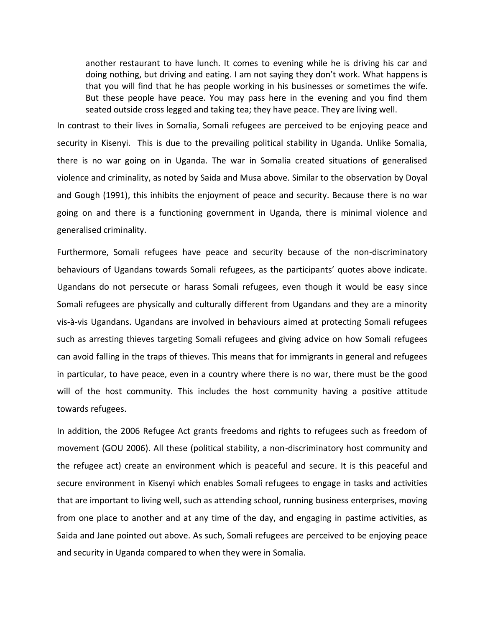another restaurant to have lunch. It comes to evening while he is driving his car and doing nothing, but driving and eating. I am not saying they don't work. What happens is that you will find that he has people working in his businesses or sometimes the wife. But these people have peace. You may pass here in the evening and you find them seated outside cross legged and taking tea; they have peace. They are living well.

In contrast to their lives in Somalia, Somali refugees are perceived to be enjoying peace and security in Kisenyi. This is due to the prevailing political stability in Uganda. Unlike Somalia, there is no war going on in Uganda. The war in Somalia created situations of generalised violence and criminality, as noted by Saida and Musa above. Similar to the observation by Doyal and Gough (1991), this inhibits the enjoyment of peace and security. Because there is no war going on and there is a functioning government in Uganda, there is minimal violence and generalised criminality.

Furthermore, Somali refugees have peace and security because of the non-discriminatory behaviours of Ugandans towards Somali refugees, as the participants' quotes above indicate. Ugandans do not persecute or harass Somali refugees, even though it would be easy since Somali refugees are physically and culturally different from Ugandans and they are a minority vis-à-vis Ugandans. Ugandans are involved in behaviours aimed at protecting Somali refugees such as arresting thieves targeting Somali refugees and giving advice on how Somali refugees can avoid falling in the traps of thieves. This means that for immigrants in general and refugees in particular, to have peace, even in a country where there is no war, there must be the good will of the host community. This includes the host community having a positive attitude towards refugees.

In addition, the 2006 Refugee Act grants freedoms and rights to refugees such as freedom of movement (GOU 2006). All these (political stability, a non-discriminatory host community and the refugee act) create an environment which is peaceful and secure. It is this peaceful and secure environment in Kisenyi which enables Somali refugees to engage in tasks and activities that are important to living well, such as attending school, running business enterprises, moving from one place to another and at any time of the day, and engaging in pastime activities, as Saida and Jane pointed out above. As such, Somali refugees are perceived to be enjoying peace and security in Uganda compared to when they were in Somalia.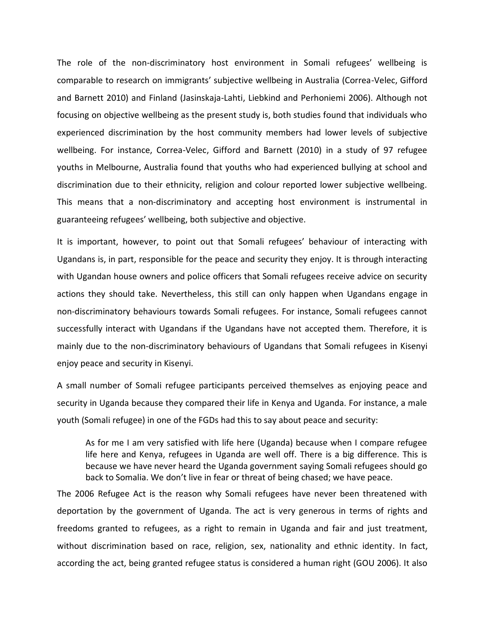The role of the non-discriminatory host environment in Somali refugees' wellbeing is comparable to research on immigrants' subjective wellbeing in Australia (Correa-Velec, Gifford and Barnett 2010) and Finland (Jasinskaja-Lahti, Liebkind and Perhoniemi 2006). Although not focusing on objective wellbeing as the present study is, both studies found that individuals who experienced discrimination by the host community members had lower levels of subjective wellbeing. For instance, Correa-Velec, Gifford and Barnett (2010) in a study of 97 refugee youths in Melbourne, Australia found that youths who had experienced bullying at school and discrimination due to their ethnicity, religion and colour reported lower subjective wellbeing. This means that a non-discriminatory and accepting host environment is instrumental in guaranteeing refugees' wellbeing, both subjective and objective.

It is important, however, to point out that Somali refugees' behaviour of interacting with Ugandans is, in part, responsible for the peace and security they enjoy. It is through interacting with Ugandan house owners and police officers that Somali refugees receive advice on security actions they should take. Nevertheless, this still can only happen when Ugandans engage in non-discriminatory behaviours towards Somali refugees. For instance, Somali refugees cannot successfully interact with Ugandans if the Ugandans have not accepted them. Therefore, it is mainly due to the non-discriminatory behaviours of Ugandans that Somali refugees in Kisenyi enjoy peace and security in Kisenyi.

A small number of Somali refugee participants perceived themselves as enjoying peace and security in Uganda because they compared their life in Kenya and Uganda. For instance, a male youth (Somali refugee) in one of the FGDs had this to say about peace and security:

As for me I am very satisfied with life here (Uganda) because when I compare refugee life here and Kenya, refugees in Uganda are well off. There is a big difference. This is because we have never heard the Uganda government saying Somali refugees should go back to Somalia. We don't live in fear or threat of being chased; we have peace.

The 2006 Refugee Act is the reason why Somali refugees have never been threatened with deportation by the government of Uganda. The act is very generous in terms of rights and freedoms granted to refugees, as a right to remain in Uganda and fair and just treatment, without discrimination based on race, religion, sex, nationality and ethnic identity. In fact, according the act, being granted refugee status is considered a human right (GOU 2006). It also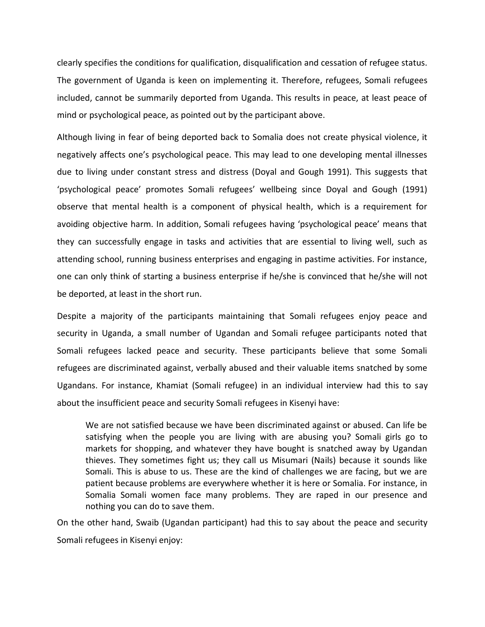clearly specifies the conditions for qualification, disqualification and cessation of refugee status. The government of Uganda is keen on implementing it. Therefore, refugees, Somali refugees included, cannot be summarily deported from Uganda. This results in peace, at least peace of mind or psychological peace, as pointed out by the participant above.

Although living in fear of being deported back to Somalia does not create physical violence, it negatively affects one's psychological peace. This may lead to one developing mental illnesses due to living under constant stress and distress (Doyal and Gough 1991). This suggests that 'psychological peace' promotes Somali refugees' wellbeing since Doyal and Gough (1991) observe that mental health is a component of physical health, which is a requirement for avoiding objective harm. In addition, Somali refugees having 'psychological peace' means that they can successfully engage in tasks and activities that are essential to living well, such as attending school, running business enterprises and engaging in pastime activities. For instance, one can only think of starting a business enterprise if he/she is convinced that he/she will not be deported, at least in the short run.

Despite a majority of the participants maintaining that Somali refugees enjoy peace and security in Uganda, a small number of Ugandan and Somali refugee participants noted that Somali refugees lacked peace and security. These participants believe that some Somali refugees are discriminated against, verbally abused and their valuable items snatched by some Ugandans. For instance, Khamiat (Somali refugee) in an individual interview had this to say about the insufficient peace and security Somali refugees in Kisenyi have:

We are not satisfied because we have been discriminated against or abused. Can life be satisfying when the people you are living with are abusing you? Somali girls go to markets for shopping, and whatever they have bought is snatched away by Ugandan thieves. They sometimes fight us; they call us Misumari (Nails) because it sounds like Somali. This is abuse to us. These are the kind of challenges we are facing, but we are patient because problems are everywhere whether it is here or Somalia. For instance, in Somalia Somali women face many problems. They are raped in our presence and nothing you can do to save them.

On the other hand, Swaib (Ugandan participant) had this to say about the peace and security Somali refugees in Kisenyi enjoy: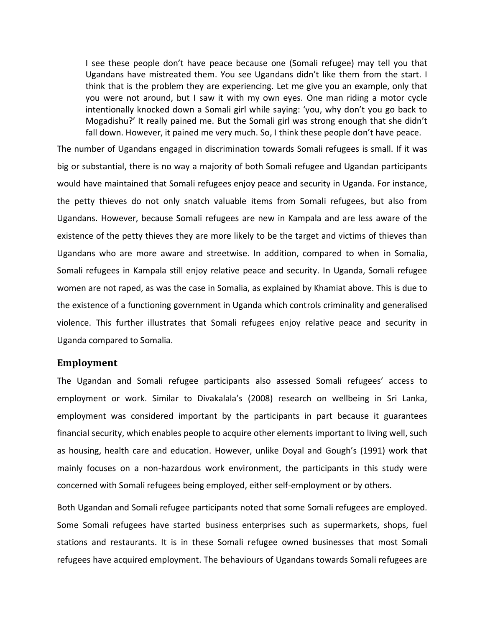I see these people don't have peace because one (Somali refugee) may tell you that Ugandans have mistreated them. You see Ugandans didn't like them from the start. I think that is the problem they are experiencing. Let me give you an example, only that you were not around, but I saw it with my own eyes. One man riding a motor cycle intentionally knocked down a Somali girl while saying: 'you, why don't you go back to Mogadishu?' It really pained me. But the Somali girl was strong enough that she didn't fall down. However, it pained me very much. So, I think these people don't have peace.

The number of Ugandans engaged in discrimination towards Somali refugees is small. If it was big or substantial, there is no way a majority of both Somali refugee and Ugandan participants would have maintained that Somali refugees enjoy peace and security in Uganda. For instance, the petty thieves do not only snatch valuable items from Somali refugees, but also from Ugandans. However, because Somali refugees are new in Kampala and are less aware of the existence of the petty thieves they are more likely to be the target and victims of thieves than Ugandans who are more aware and streetwise. In addition, compared to when in Somalia, Somali refugees in Kampala still enjoy relative peace and security. In Uganda, Somali refugee women are not raped, as was the case in Somalia, as explained by Khamiat above. This is due to the existence of a functioning government in Uganda which controls criminality and generalised violence. This further illustrates that Somali refugees enjoy relative peace and security in Uganda compared to Somalia.

#### **Employment**

The Ugandan and Somali refugee participants also assessed Somali refugees' access to employment or work. Similar to Divakalala's (2008) research on wellbeing in Sri Lanka, employment was considered important by the participants in part because it guarantees financial security, which enables people to acquire other elements important to living well, such as housing, health care and education. However, unlike Doyal and Gough's (1991) work that mainly focuses on a non-hazardous work environment, the participants in this study were concerned with Somali refugees being employed, either self-employment or by others.

Both Ugandan and Somali refugee participants noted that some Somali refugees are employed. Some Somali refugees have started business enterprises such as supermarkets, shops, fuel stations and restaurants. It is in these Somali refugee owned businesses that most Somali refugees have acquired employment. The behaviours of Ugandans towards Somali refugees are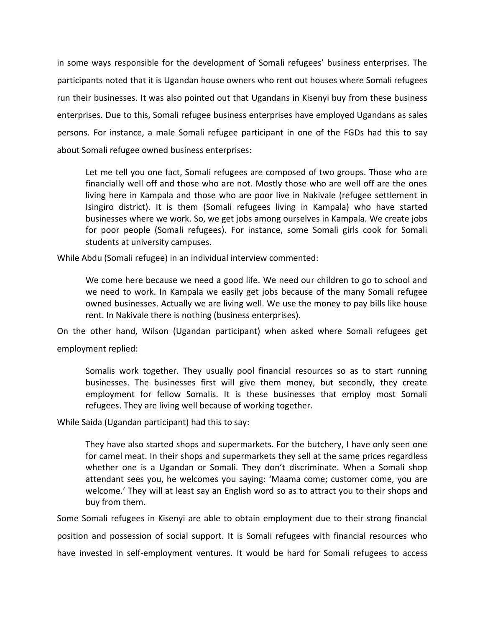in some ways responsible for the development of Somali refugees' business enterprises. The participants noted that it is Ugandan house owners who rent out houses where Somali refugees run their businesses. It was also pointed out that Ugandans in Kisenyi buy from these business enterprises. Due to this, Somali refugee business enterprises have employed Ugandans as sales persons. For instance, a male Somali refugee participant in one of the FGDs had this to say about Somali refugee owned business enterprises:

Let me tell you one fact, Somali refugees are composed of two groups. Those who are financially well off and those who are not. Mostly those who are well off are the ones living here in Kampala and those who are poor live in Nakivale (refugee settlement in Isingiro district). It is them (Somali refugees living in Kampala) who have started businesses where we work. So, we get jobs among ourselves in Kampala. We create jobs for poor people (Somali refugees). For instance, some Somali girls cook for Somali students at university campuses.

While Abdu (Somali refugee) in an individual interview commented:

We come here because we need a good life. We need our children to go to school and we need to work. In Kampala we easily get jobs because of the many Somali refugee owned businesses. Actually we are living well. We use the money to pay bills like house rent. In Nakivale there is nothing (business enterprises).

On the other hand, Wilson (Ugandan participant) when asked where Somali refugees get employment replied:

Somalis work together. They usually pool financial resources so as to start running businesses. The businesses first will give them money, but secondly, they create employment for fellow Somalis. It is these businesses that employ most Somali refugees. They are living well because of working together.

While Saida (Ugandan participant) had this to say:

They have also started shops and supermarkets. For the butchery, I have only seen one for camel meat. In their shops and supermarkets they sell at the same prices regardless whether one is a Ugandan or Somali. They don't discriminate. When a Somali shop attendant sees you, he welcomes you saying: 'Maama come; customer come, you are welcome.' They will at least say an English word so as to attract you to their shops and buy from them.

Some Somali refugees in Kisenyi are able to obtain employment due to their strong financial position and possession of social support. It is Somali refugees with financial resources who have invested in self-employment ventures. It would be hard for Somali refugees to access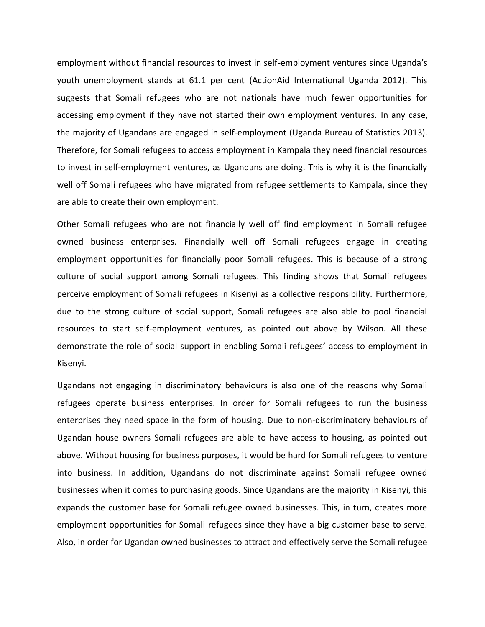employment without financial resources to invest in self-employment ventures since Uganda's youth unemployment stands at 61.1 per cent (ActionAid International Uganda 2012). This suggests that Somali refugees who are not nationals have much fewer opportunities for accessing employment if they have not started their own employment ventures. In any case, the majority of Ugandans are engaged in self-employment (Uganda Bureau of Statistics 2013). Therefore, for Somali refugees to access employment in Kampala they need financial resources to invest in self-employment ventures, as Ugandans are doing. This is why it is the financially well off Somali refugees who have migrated from refugee settlements to Kampala, since they are able to create their own employment.

Other Somali refugees who are not financially well off find employment in Somali refugee owned business enterprises. Financially well off Somali refugees engage in creating employment opportunities for financially poor Somali refugees. This is because of a strong culture of social support among Somali refugees. This finding shows that Somali refugees perceive employment of Somali refugees in Kisenyi as a collective responsibility. Furthermore, due to the strong culture of social support, Somali refugees are also able to pool financial resources to start self-employment ventures, as pointed out above by Wilson. All these demonstrate the role of social support in enabling Somali refugees' access to employment in Kisenyi.

Ugandans not engaging in discriminatory behaviours is also one of the reasons why Somali refugees operate business enterprises. In order for Somali refugees to run the business enterprises they need space in the form of housing. Due to non-discriminatory behaviours of Ugandan house owners Somali refugees are able to have access to housing, as pointed out above. Without housing for business purposes, it would be hard for Somali refugees to venture into business. In addition, Ugandans do not discriminate against Somali refugee owned businesses when it comes to purchasing goods. Since Ugandans are the majority in Kisenyi, this expands the customer base for Somali refugee owned businesses. This, in turn, creates more employment opportunities for Somali refugees since they have a big customer base to serve. Also, in order for Ugandan owned businesses to attract and effectively serve the Somali refugee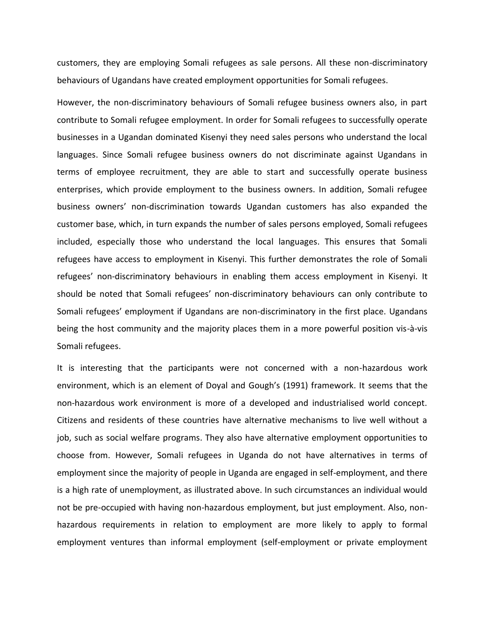customers, they are employing Somali refugees as sale persons. All these non-discriminatory behaviours of Ugandans have created employment opportunities for Somali refugees.

However, the non-discriminatory behaviours of Somali refugee business owners also, in part contribute to Somali refugee employment. In order for Somali refugees to successfully operate businesses in a Ugandan dominated Kisenyi they need sales persons who understand the local languages. Since Somali refugee business owners do not discriminate against Ugandans in terms of employee recruitment, they are able to start and successfully operate business enterprises, which provide employment to the business owners. In addition, Somali refugee business owners' non-discrimination towards Ugandan customers has also expanded the customer base, which, in turn expands the number of sales persons employed, Somali refugees included, especially those who understand the local languages. This ensures that Somali refugees have access to employment in Kisenyi. This further demonstrates the role of Somali refugees' non-discriminatory behaviours in enabling them access employment in Kisenyi. It should be noted that Somali refugees' non-discriminatory behaviours can only contribute to Somali refugees' employment if Ugandans are non-discriminatory in the first place. Ugandans being the host community and the majority places them in a more powerful position vis-à-vis Somali refugees.

It is interesting that the participants were not concerned with a non-hazardous work environment, which is an element of Doyal and Gough's (1991) framework. It seems that the non-hazardous work environment is more of a developed and industrialised world concept. Citizens and residents of these countries have alternative mechanisms to live well without a job, such as social welfare programs. They also have alternative employment opportunities to choose from. However, Somali refugees in Uganda do not have alternatives in terms of employment since the majority of people in Uganda are engaged in self-employment, and there is a high rate of unemployment, as illustrated above. In such circumstances an individual would not be pre-occupied with having non-hazardous employment, but just employment. Also, nonhazardous requirements in relation to employment are more likely to apply to formal employment ventures than informal employment (self-employment or private employment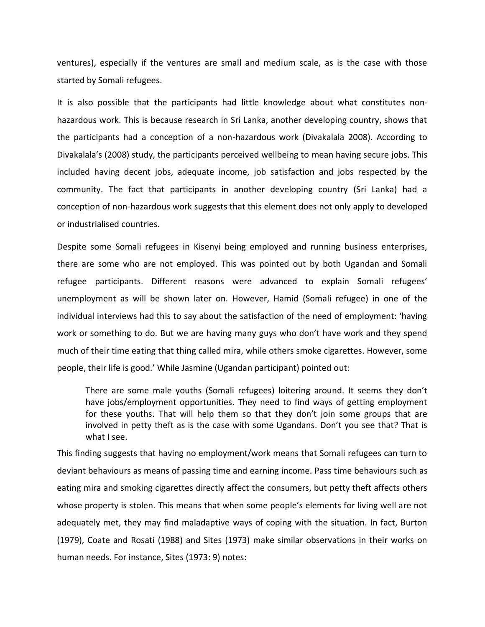ventures), especially if the ventures are small and medium scale, as is the case with those started by Somali refugees.

It is also possible that the participants had little knowledge about what constitutes nonhazardous work. This is because research in Sri Lanka, another developing country, shows that the participants had a conception of a non-hazardous work (Divakalala 2008). According to Divakalala's (2008) study, the participants perceived wellbeing to mean having secure jobs. This included having decent jobs, adequate income, job satisfaction and jobs respected by the community. The fact that participants in another developing country (Sri Lanka) had a conception of non-hazardous work suggests that this element does not only apply to developed or industrialised countries.

Despite some Somali refugees in Kisenyi being employed and running business enterprises, there are some who are not employed. This was pointed out by both Ugandan and Somali refugee participants. Different reasons were advanced to explain Somali refugees' unemployment as will be shown later on. However, Hamid (Somali refugee) in one of the individual interviews had this to say about the satisfaction of the need of employment: 'having work or something to do. But we are having many guys who don't have work and they spend much of their time eating that thing called mira, while others smoke cigarettes. However, some people, their life is good.' While Jasmine (Ugandan participant) pointed out:

There are some male youths (Somali refugees) loitering around. It seems they don't have jobs/employment opportunities. They need to find ways of getting employment for these youths. That will help them so that they don't join some groups that are involved in petty theft as is the case with some Ugandans. Don't you see that? That is what I see.

This finding suggests that having no employment/work means that Somali refugees can turn to deviant behaviours as means of passing time and earning income. Pass time behaviours such as eating mira and smoking cigarettes directly affect the consumers, but petty theft affects others whose property is stolen. This means that when some people's elements for living well are not adequately met, they may find maladaptive ways of coping with the situation. In fact, Burton (1979), Coate and Rosati (1988) and Sites (1973) make similar observations in their works on human needs. For instance, Sites (1973: 9) notes: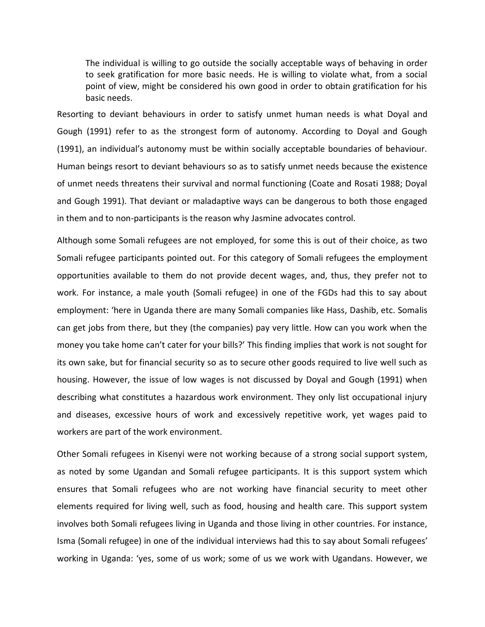The individual is willing to go outside the socially acceptable ways of behaving in order to seek gratification for more basic needs. He is willing to violate what, from a social point of view, might be considered his own good in order to obtain gratification for his basic needs.

Resorting to deviant behaviours in order to satisfy unmet human needs is what Doyal and Gough (1991) refer to as the strongest form of autonomy. According to Doyal and Gough (1991), an individual's autonomy must be within socially acceptable boundaries of behaviour. Human beings resort to deviant behaviours so as to satisfy unmet needs because the existence of unmet needs threatens their survival and normal functioning (Coate and Rosati 1988; Doyal and Gough 1991). That deviant or maladaptive ways can be dangerous to both those engaged in them and to non-participants is the reason why Jasmine advocates control.

Although some Somali refugees are not employed, for some this is out of their choice, as two Somali refugee participants pointed out. For this category of Somali refugees the employment opportunities available to them do not provide decent wages, and, thus, they prefer not to work. For instance, a male youth (Somali refugee) in one of the FGDs had this to say about employment: 'here in Uganda there are many Somali companies like Hass, Dashib, etc. Somalis can get jobs from there, but they (the companies) pay very little. How can you work when the money you take home can't cater for your bills?' This finding implies that work is not sought for its own sake, but for financial security so as to secure other goods required to live well such as housing. However, the issue of low wages is not discussed by Doyal and Gough (1991) when describing what constitutes a hazardous work environment. They only list occupational injury and diseases, excessive hours of work and excessively repetitive work, yet wages paid to workers are part of the work environment.

Other Somali refugees in Kisenyi were not working because of a strong social support system, as noted by some Ugandan and Somali refugee participants. It is this support system which ensures that Somali refugees who are not working have financial security to meet other elements required for living well, such as food, housing and health care. This support system involves both Somali refugees living in Uganda and those living in other countries. For instance, Isma (Somali refugee) in one of the individual interviews had this to say about Somali refugees' working in Uganda: 'yes, some of us work; some of us we work with Ugandans. However, we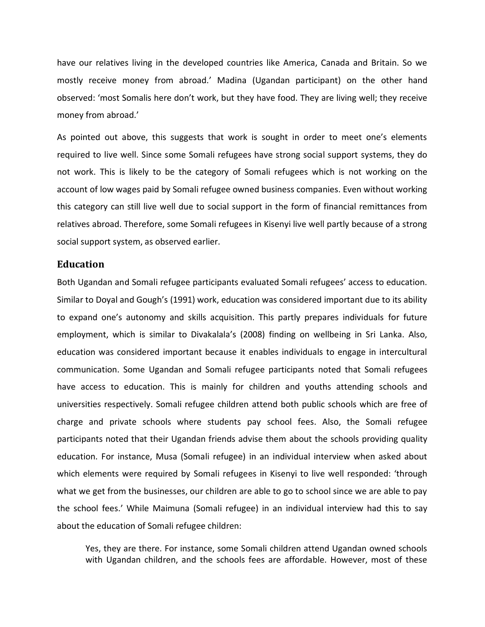have our relatives living in the developed countries like America, Canada and Britain. So we mostly receive money from abroad.' Madina (Ugandan participant) on the other hand observed: 'most Somalis here don't work, but they have food. They are living well; they receive money from abroad.'

As pointed out above, this suggests that work is sought in order to meet one's elements required to live well. Since some Somali refugees have strong social support systems, they do not work. This is likely to be the category of Somali refugees which is not working on the account of low wages paid by Somali refugee owned business companies. Even without working this category can still live well due to social support in the form of financial remittances from relatives abroad. Therefore, some Somali refugees in Kisenyi live well partly because of a strong social support system, as observed earlier.

#### **Education**

Both Ugandan and Somali refugee participants evaluated Somali refugees' access to education. Similar to Doyal and Gough's (1991) work, education was considered important due to its ability to expand one's autonomy and skills acquisition. This partly prepares individuals for future employment, which is similar to Divakalala's (2008) finding on wellbeing in Sri Lanka. Also, education was considered important because it enables individuals to engage in intercultural communication. Some Ugandan and Somali refugee participants noted that Somali refugees have access to education. This is mainly for children and youths attending schools and universities respectively. Somali refugee children attend both public schools which are free of charge and private schools where students pay school fees. Also, the Somali refugee participants noted that their Ugandan friends advise them about the schools providing quality education. For instance, Musa (Somali refugee) in an individual interview when asked about which elements were required by Somali refugees in Kisenyi to live well responded: 'through what we get from the businesses, our children are able to go to school since we are able to pay the school fees.' While Maimuna (Somali refugee) in an individual interview had this to say about the education of Somali refugee children:

Yes, they are there. For instance, some Somali children attend Ugandan owned schools with Ugandan children, and the schools fees are affordable. However, most of these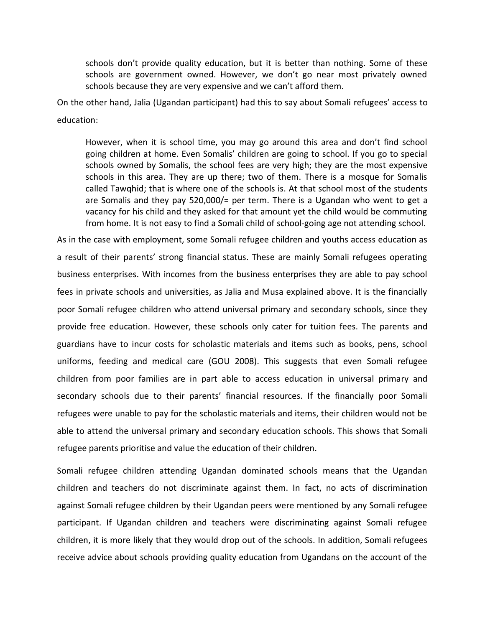schools don't provide quality education, but it is better than nothing. Some of these schools are government owned. However, we don't go near most privately owned schools because they are very expensive and we can't afford them.

On the other hand, Jalia (Ugandan participant) had this to say about Somali refugees' access to education:

However, when it is school time, you may go around this area and don't find school going children at home. Even Somalis' children are going to school. If you go to special schools owned by Somalis, the school fees are very high; they are the most expensive schools in this area. They are up there; two of them. There is a mosque for Somalis called Tawqhid; that is where one of the schools is. At that school most of the students are Somalis and they pay 520,000/= per term. There is a Ugandan who went to get a vacancy for his child and they asked for that amount yet the child would be commuting from home. It is not easy to find a Somali child of school-going age not attending school.

As in the case with employment, some Somali refugee children and youths access education as a result of their parents' strong financial status. These are mainly Somali refugees operating business enterprises. With incomes from the business enterprises they are able to pay school fees in private schools and universities, as Jalia and Musa explained above. It is the financially poor Somali refugee children who attend universal primary and secondary schools, since they provide free education. However, these schools only cater for tuition fees. The parents and guardians have to incur costs for scholastic materials and items such as books, pens, school uniforms, feeding and medical care (GOU 2008). This suggests that even Somali refugee children from poor families are in part able to access education in universal primary and secondary schools due to their parents' financial resources. If the financially poor Somali refugees were unable to pay for the scholastic materials and items, their children would not be able to attend the universal primary and secondary education schools. This shows that Somali refugee parents prioritise and value the education of their children.

Somali refugee children attending Ugandan dominated schools means that the Ugandan children and teachers do not discriminate against them. In fact, no acts of discrimination against Somali refugee children by their Ugandan peers were mentioned by any Somali refugee participant. If Ugandan children and teachers were discriminating against Somali refugee children, it is more likely that they would drop out of the schools. In addition, Somali refugees receive advice about schools providing quality education from Ugandans on the account of the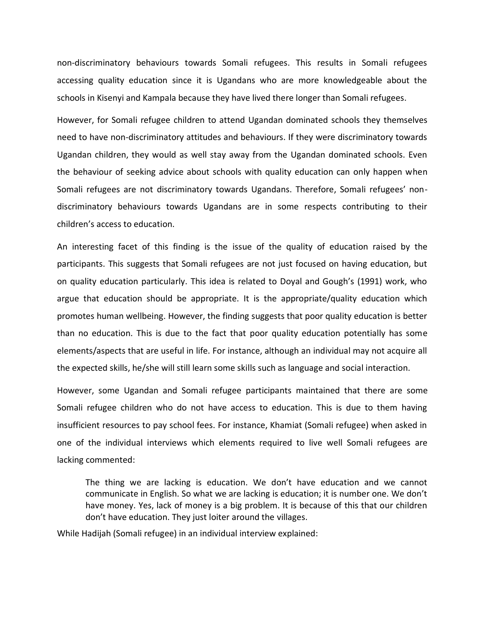non-discriminatory behaviours towards Somali refugees. This results in Somali refugees accessing quality education since it is Ugandans who are more knowledgeable about the schools in Kisenyi and Kampala because they have lived there longer than Somali refugees.

However, for Somali refugee children to attend Ugandan dominated schools they themselves need to have non-discriminatory attitudes and behaviours. If they were discriminatory towards Ugandan children, they would as well stay away from the Ugandan dominated schools. Even the behaviour of seeking advice about schools with quality education can only happen when Somali refugees are not discriminatory towards Ugandans. Therefore, Somali refugees' nondiscriminatory behaviours towards Ugandans are in some respects contributing to their children's access to education.

An interesting facet of this finding is the issue of the quality of education raised by the participants. This suggests that Somali refugees are not just focused on having education, but on quality education particularly. This idea is related to Doyal and Gough's (1991) work, who argue that education should be appropriate. It is the appropriate/quality education which promotes human wellbeing. However, the finding suggests that poor quality education is better than no education. This is due to the fact that poor quality education potentially has some elements/aspects that are useful in life. For instance, although an individual may not acquire all the expected skills, he/she will still learn some skills such as language and social interaction.

However, some Ugandan and Somali refugee participants maintained that there are some Somali refugee children who do not have access to education. This is due to them having insufficient resources to pay school fees. For instance, Khamiat (Somali refugee) when asked in one of the individual interviews which elements required to live well Somali refugees are lacking commented:

The thing we are lacking is education. We don't have education and we cannot communicate in English. So what we are lacking is education; it is number one. We don't have money. Yes, lack of money is a big problem. It is because of this that our children don't have education. They just loiter around the villages.

While Hadijah (Somali refugee) in an individual interview explained: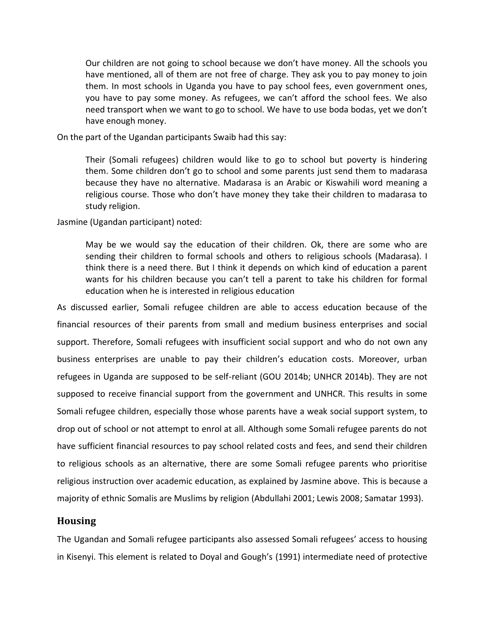Our children are not going to school because we don't have money. All the schools you have mentioned, all of them are not free of charge. They ask you to pay money to join them. In most schools in Uganda you have to pay school fees, even government ones, you have to pay some money. As refugees, we can't afford the school fees. We also need transport when we want to go to school. We have to use boda bodas, yet we don't have enough money.

On the part of the Ugandan participants Swaib had this say:

Their (Somali refugees) children would like to go to school but poverty is hindering them. Some children don't go to school and some parents just send them to madarasa because they have no alternative. Madarasa is an Arabic or Kiswahili word meaning a religious course. Those who don't have money they take their children to madarasa to study religion.

Jasmine (Ugandan participant) noted:

May be we would say the education of their children. Ok, there are some who are sending their children to formal schools and others to religious schools (Madarasa). I think there is a need there. But I think it depends on which kind of education a parent wants for his children because you can't tell a parent to take his children for formal education when he is interested in religious education

As discussed earlier, Somali refugee children are able to access education because of the financial resources of their parents from small and medium business enterprises and social support. Therefore, Somali refugees with insufficient social support and who do not own any business enterprises are unable to pay their children's education costs. Moreover, urban refugees in Uganda are supposed to be self-reliant (GOU 2014b; UNHCR 2014b). They are not supposed to receive financial support from the government and UNHCR. This results in some Somali refugee children, especially those whose parents have a weak social support system, to drop out of school or not attempt to enrol at all. Although some Somali refugee parents do not have sufficient financial resources to pay school related costs and fees, and send their children to religious schools as an alternative, there are some Somali refugee parents who prioritise religious instruction over academic education, as explained by Jasmine above. This is because a majority of ethnic Somalis are Muslims by religion (Abdullahi 2001; Lewis 2008; Samatar 1993).

## **Housing**

The Ugandan and Somali refugee participants also assessed Somali refugees' access to housing in Kisenyi. This element is related to Doyal and Gough's (1991) intermediate need of protective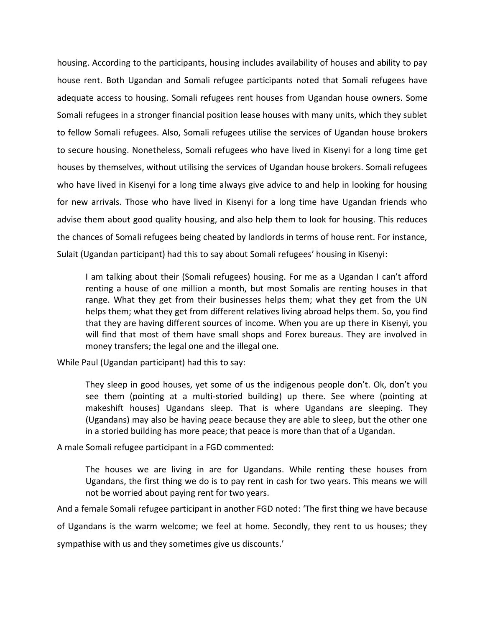housing. According to the participants, housing includes availability of houses and ability to pay house rent. Both Ugandan and Somali refugee participants noted that Somali refugees have adequate access to housing. Somali refugees rent houses from Ugandan house owners. Some Somali refugees in a stronger financial position lease houses with many units, which they sublet to fellow Somali refugees. Also, Somali refugees utilise the services of Ugandan house brokers to secure housing. Nonetheless, Somali refugees who have lived in Kisenyi for a long time get houses by themselves, without utilising the services of Ugandan house brokers. Somali refugees who have lived in Kisenyi for a long time always give advice to and help in looking for housing for new arrivals. Those who have lived in Kisenyi for a long time have Ugandan friends who advise them about good quality housing, and also help them to look for housing. This reduces the chances of Somali refugees being cheated by landlords in terms of house rent. For instance, Sulait (Ugandan participant) had this to say about Somali refugees' housing in Kisenyi:

I am talking about their (Somali refugees) housing. For me as a Ugandan I can't afford renting a house of one million a month, but most Somalis are renting houses in that range. What they get from their businesses helps them; what they get from the UN helps them; what they get from different relatives living abroad helps them. So, you find that they are having different sources of income. When you are up there in Kisenyi, you will find that most of them have small shops and Forex bureaus. They are involved in money transfers; the legal one and the illegal one.

While Paul (Ugandan participant) had this to say:

They sleep in good houses, yet some of us the indigenous people don't. Ok, don't you see them (pointing at a multi-storied building) up there. See where (pointing at makeshift houses) Ugandans sleep. That is where Ugandans are sleeping. They (Ugandans) may also be having peace because they are able to sleep, but the other one in a storied building has more peace; that peace is more than that of a Ugandan.

A male Somali refugee participant in a FGD commented:

The houses we are living in are for Ugandans. While renting these houses from Ugandans, the first thing we do is to pay rent in cash for two years. This means we will not be worried about paying rent for two years.

And a female Somali refugee participant in another FGD noted: 'The first thing we have because of Ugandans is the warm welcome; we feel at home. Secondly, they rent to us houses; they sympathise with us and they sometimes give us discounts.'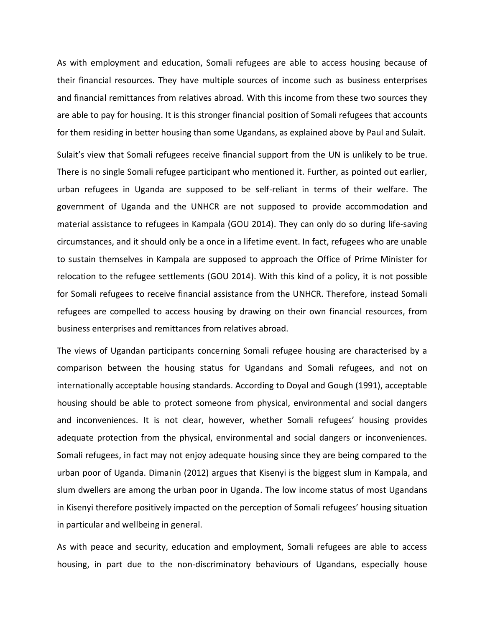As with employment and education, Somali refugees are able to access housing because of their financial resources. They have multiple sources of income such as business enterprises and financial remittances from relatives abroad. With this income from these two sources they are able to pay for housing. It is this stronger financial position of Somali refugees that accounts for them residing in better housing than some Ugandans, as explained above by Paul and Sulait.

Sulait's view that Somali refugees receive financial support from the UN is unlikely to be true. There is no single Somali refugee participant who mentioned it. Further, as pointed out earlier, urban refugees in Uganda are supposed to be self-reliant in terms of their welfare. The government of Uganda and the UNHCR are not supposed to provide accommodation and material assistance to refugees in Kampala (GOU 2014). They can only do so during life-saving circumstances, and it should only be a once in a lifetime event. In fact, refugees who are unable to sustain themselves in Kampala are supposed to approach the Office of Prime Minister for relocation to the refugee settlements (GOU 2014). With this kind of a policy, it is not possible for Somali refugees to receive financial assistance from the UNHCR. Therefore, instead Somali refugees are compelled to access housing by drawing on their own financial resources, from business enterprises and remittances from relatives abroad.

The views of Ugandan participants concerning Somali refugee housing are characterised by a comparison between the housing status for Ugandans and Somali refugees, and not on internationally acceptable housing standards. According to Doyal and Gough (1991), acceptable housing should be able to protect someone from physical, environmental and social dangers and inconveniences. It is not clear, however, whether Somali refugees' housing provides adequate protection from the physical, environmental and social dangers or inconveniences. Somali refugees, in fact may not enjoy adequate housing since they are being compared to the urban poor of Uganda. Dimanin (2012) argues that Kisenyi is the biggest slum in Kampala, and slum dwellers are among the urban poor in Uganda. The low income status of most Ugandans in Kisenyi therefore positively impacted on the perception of Somali refugees' housing situation in particular and wellbeing in general.

As with peace and security, education and employment, Somali refugees are able to access housing, in part due to the non-discriminatory behaviours of Ugandans, especially house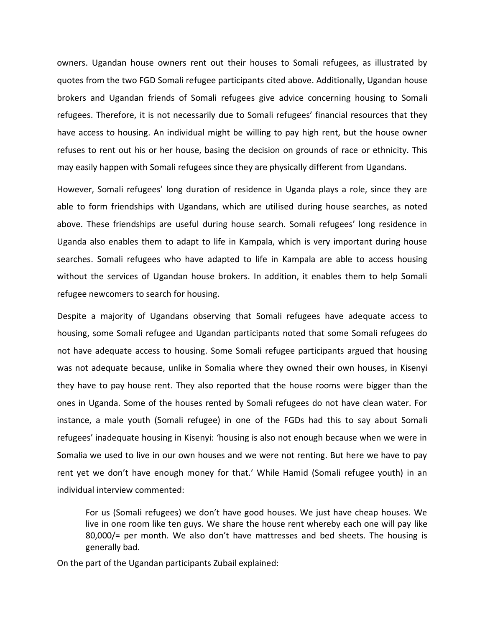owners. Ugandan house owners rent out their houses to Somali refugees, as illustrated by quotes from the two FGD Somali refugee participants cited above. Additionally, Ugandan house brokers and Ugandan friends of Somali refugees give advice concerning housing to Somali refugees. Therefore, it is not necessarily due to Somali refugees' financial resources that they have access to housing. An individual might be willing to pay high rent, but the house owner refuses to rent out his or her house, basing the decision on grounds of race or ethnicity. This may easily happen with Somali refugees since they are physically different from Ugandans.

However, Somali refugees' long duration of residence in Uganda plays a role, since they are able to form friendships with Ugandans, which are utilised during house searches, as noted above. These friendships are useful during house search. Somali refugees' long residence in Uganda also enables them to adapt to life in Kampala, which is very important during house searches. Somali refugees who have adapted to life in Kampala are able to access housing without the services of Ugandan house brokers. In addition, it enables them to help Somali refugee newcomers to search for housing.

Despite a majority of Ugandans observing that Somali refugees have adequate access to housing, some Somali refugee and Ugandan participants noted that some Somali refugees do not have adequate access to housing. Some Somali refugee participants argued that housing was not adequate because, unlike in Somalia where they owned their own houses, in Kisenyi they have to pay house rent. They also reported that the house rooms were bigger than the ones in Uganda. Some of the houses rented by Somali refugees do not have clean water. For instance, a male youth (Somali refugee) in one of the FGDs had this to say about Somali refugees' inadequate housing in Kisenyi: 'housing is also not enough because when we were in Somalia we used to live in our own houses and we were not renting. But here we have to pay rent yet we don't have enough money for that.' While Hamid (Somali refugee youth) in an individual interview commented:

For us (Somali refugees) we don't have good houses. We just have cheap houses. We live in one room like ten guys. We share the house rent whereby each one will pay like 80,000/= per month. We also don't have mattresses and bed sheets. The housing is generally bad.

On the part of the Ugandan participants Zubail explained: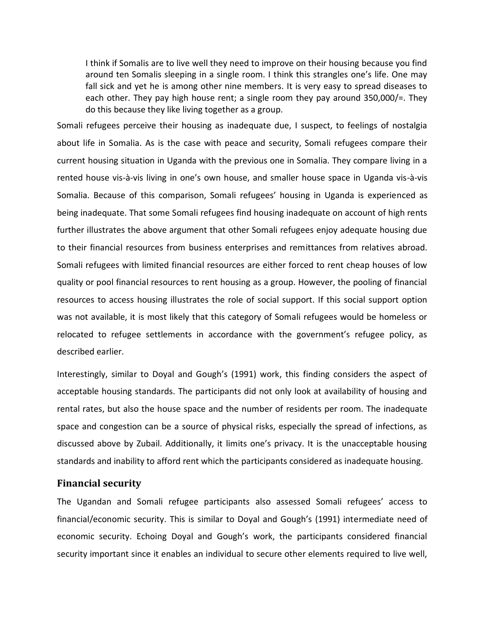I think if Somalis are to live well they need to improve on their housing because you find around ten Somalis sleeping in a single room. I think this strangles one's life. One may fall sick and yet he is among other nine members. It is very easy to spread diseases to each other. They pay high house rent; a single room they pay around 350,000/=. They do this because they like living together as a group.

Somali refugees perceive their housing as inadequate due, I suspect, to feelings of nostalgia about life in Somalia. As is the case with peace and security, Somali refugees compare their current housing situation in Uganda with the previous one in Somalia. They compare living in a rented house vis-à-vis living in one's own house, and smaller house space in Uganda vis-à-vis Somalia. Because of this comparison, Somali refugees' housing in Uganda is experienced as being inadequate. That some Somali refugees find housing inadequate on account of high rents further illustrates the above argument that other Somali refugees enjoy adequate housing due to their financial resources from business enterprises and remittances from relatives abroad. Somali refugees with limited financial resources are either forced to rent cheap houses of low quality or pool financial resources to rent housing as a group. However, the pooling of financial resources to access housing illustrates the role of social support. If this social support option was not available, it is most likely that this category of Somali refugees would be homeless or relocated to refugee settlements in accordance with the government's refugee policy, as described earlier.

Interestingly, similar to Doyal and Gough's (1991) work, this finding considers the aspect of acceptable housing standards. The participants did not only look at availability of housing and rental rates, but also the house space and the number of residents per room. The inadequate space and congestion can be a source of physical risks, especially the spread of infections, as discussed above by Zubail. Additionally, it limits one's privacy. It is the unacceptable housing standards and inability to afford rent which the participants considered as inadequate housing.

#### **Financial security**

The Ugandan and Somali refugee participants also assessed Somali refugees' access to financial/economic security. This is similar to Doyal and Gough's (1991) intermediate need of economic security. Echoing Doyal and Gough's work, the participants considered financial security important since it enables an individual to secure other elements required to live well,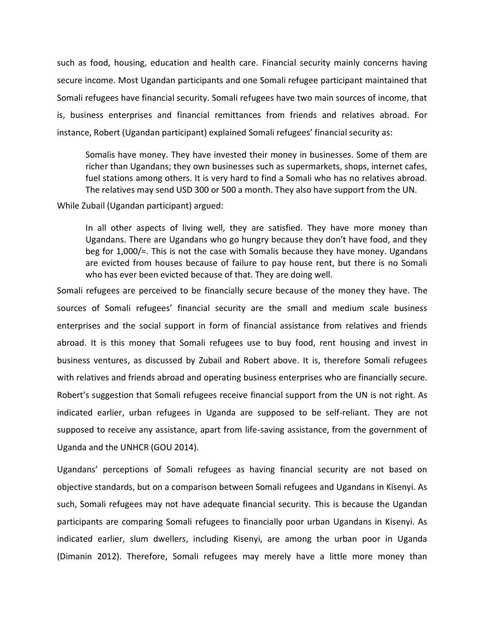such as food, housing, education and health care. Financial security mainly concerns having secure income. Most Ugandan participants and one Somali refugee participant maintained that Somali refugees have financial security. Somali refugees have two main sources of income, that is, business enterprises and financial remittances from friends and relatives abroad. For instance, Robert (Ugandan participant) explained Somali refugees' financial security as:

Somalis have money. They have invested their money in businesses. Some of them are richer than Ugandans; they own businesses such as supermarkets, shops, internet cafes, fuel stations among others. It is very hard to find a Somali who has no relatives abroad. The relatives may send USD 300 or 500 a month. They also have support from the UN.

While Zubail (Ugandan participant) argued:

In all other aspects of living well, they are satisfied. They have more money than Ugandans. There are Ugandans who go hungry because they don't have food, and they beg for 1,000/=. This is not the case with Somalis because they have money. Ugandans are evicted from houses because of failure to pay house rent, but there is no Somali who has ever been evicted because of that. They are doing well.

Somali refugees are perceived to be financially secure because of the money they have. The sources of Somali refugees' financial security are the small and medium scale business enterprises and the social support in form of financial assistance from relatives and friends abroad. It is this money that Somali refugees use to buy food, rent housing and invest in business ventures, as discussed by Zubail and Robert above. It is, therefore Somali refugees with relatives and friends abroad and operating business enterprises who are financially secure. Robert's suggestion that Somali refugees receive financial support from the UN is not right. As indicated earlier, urban refugees in Uganda are supposed to be self-reliant. They are not supposed to receive any assistance, apart from life-saving assistance, from the government of Uganda and the UNHCR (GOU 2014).

Ugandans' perceptions of Somali refugees as having financial security are not based on objective standards, but on a comparison between Somali refugees and Ugandans in Kisenyi. As such, Somali refugees may not have adequate financial security. This is because the Ugandan participants are comparing Somali refugees to financially poor urban Ugandans in Kisenyi. As indicated earlier, slum dwellers, including Kisenyi, are among the urban poor in Uganda (Dimanin 2012). Therefore, Somali refugees may merely have a little more money than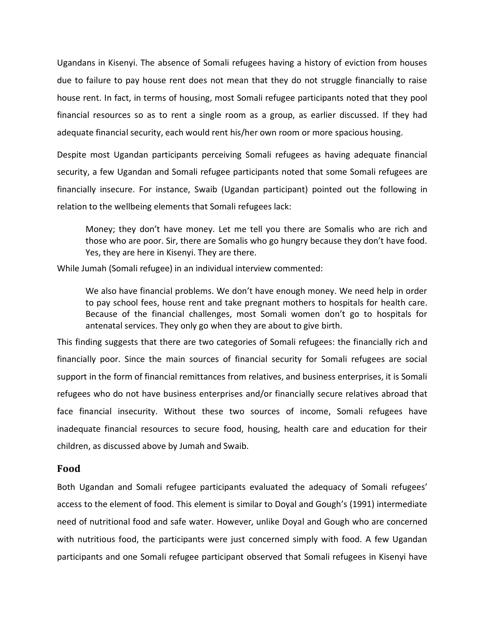Ugandans in Kisenyi. The absence of Somali refugees having a history of eviction from houses due to failure to pay house rent does not mean that they do not struggle financially to raise house rent. In fact, in terms of housing, most Somali refugee participants noted that they pool financial resources so as to rent a single room as a group, as earlier discussed. If they had adequate financial security, each would rent his/her own room or more spacious housing.

Despite most Ugandan participants perceiving Somali refugees as having adequate financial security, a few Ugandan and Somali refugee participants noted that some Somali refugees are financially insecure. For instance, Swaib (Ugandan participant) pointed out the following in relation to the wellbeing elements that Somali refugees lack:

Money; they don't have money. Let me tell you there are Somalis who are rich and those who are poor. Sir, there are Somalis who go hungry because they don't have food. Yes, they are here in Kisenyi. They are there.

While Jumah (Somali refugee) in an individual interview commented:

We also have financial problems. We don't have enough money. We need help in order to pay school fees, house rent and take pregnant mothers to hospitals for health care. Because of the financial challenges, most Somali women don't go to hospitals for antenatal services. They only go when they are about to give birth.

This finding suggests that there are two categories of Somali refugees: the financially rich and financially poor. Since the main sources of financial security for Somali refugees are social support in the form of financial remittances from relatives, and business enterprises, it is Somali refugees who do not have business enterprises and/or financially secure relatives abroad that face financial insecurity. Without these two sources of income, Somali refugees have inadequate financial resources to secure food, housing, health care and education for their children, as discussed above by Jumah and Swaib.

#### **Food**

Both Ugandan and Somali refugee participants evaluated the adequacy of Somali refugees' access to the element of food. This element is similar to Doyal and Gough's (1991) intermediate need of nutritional food and safe water. However, unlike Doyal and Gough who are concerned with nutritious food, the participants were just concerned simply with food. A few Ugandan participants and one Somali refugee participant observed that Somali refugees in Kisenyi have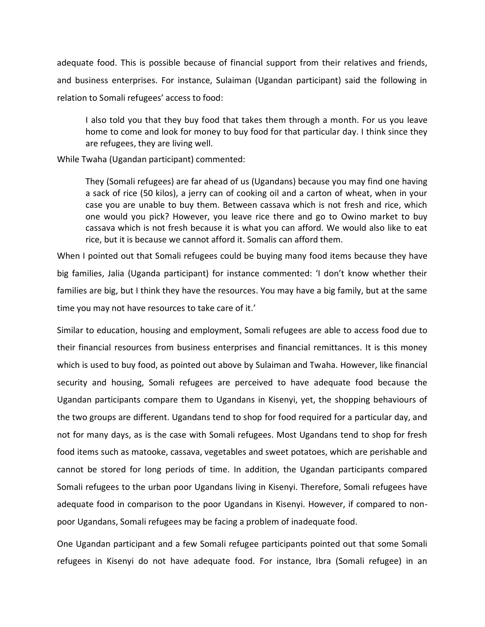adequate food. This is possible because of financial support from their relatives and friends, and business enterprises. For instance, Sulaiman (Ugandan participant) said the following in relation to Somali refugees' access to food:

I also told you that they buy food that takes them through a month. For us you leave home to come and look for money to buy food for that particular day. I think since they are refugees, they are living well.

While Twaha (Ugandan participant) commented:

They (Somali refugees) are far ahead of us (Ugandans) because you may find one having a sack of rice (50 kilos), a jerry can of cooking oil and a carton of wheat, when in your case you are unable to buy them. Between cassava which is not fresh and rice, which one would you pick? However, you leave rice there and go to Owino market to buy cassava which is not fresh because it is what you can afford. We would also like to eat rice, but it is because we cannot afford it. Somalis can afford them.

When I pointed out that Somali refugees could be buying many food items because they have big families, Jalia (Uganda participant) for instance commented: 'I don't know whether their families are big, but I think they have the resources. You may have a big family, but at the same time you may not have resources to take care of it.'

Similar to education, housing and employment, Somali refugees are able to access food due to their financial resources from business enterprises and financial remittances. It is this money which is used to buy food, as pointed out above by Sulaiman and Twaha. However, like financial security and housing, Somali refugees are perceived to have adequate food because the Ugandan participants compare them to Ugandans in Kisenyi, yet, the shopping behaviours of the two groups are different. Ugandans tend to shop for food required for a particular day, and not for many days, as is the case with Somali refugees. Most Ugandans tend to shop for fresh food items such as matooke, cassava, vegetables and sweet potatoes, which are perishable and cannot be stored for long periods of time. In addition, the Ugandan participants compared Somali refugees to the urban poor Ugandans living in Kisenyi. Therefore, Somali refugees have adequate food in comparison to the poor Ugandans in Kisenyi. However, if compared to nonpoor Ugandans, Somali refugees may be facing a problem of inadequate food.

One Ugandan participant and a few Somali refugee participants pointed out that some Somali refugees in Kisenyi do not have adequate food. For instance, Ibra (Somali refugee) in an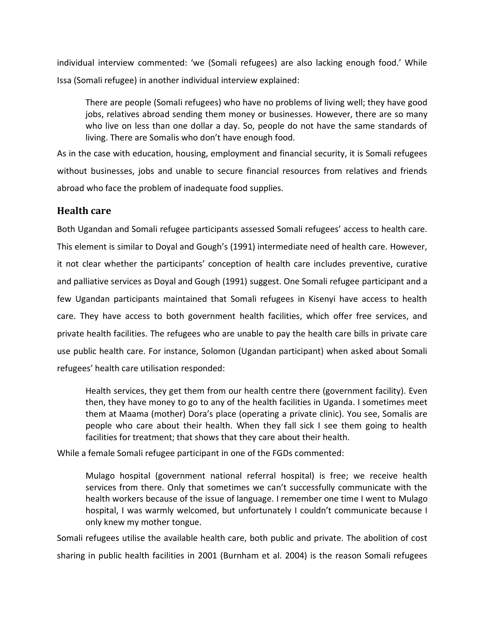individual interview commented: 'we (Somali refugees) are also lacking enough food.' While Issa (Somali refugee) in another individual interview explained:

There are people (Somali refugees) who have no problems of living well; they have good jobs, relatives abroad sending them money or businesses. However, there are so many who live on less than one dollar a day. So, people do not have the same standards of living. There are Somalis who don't have enough food.

As in the case with education, housing, employment and financial security, it is Somali refugees without businesses, jobs and unable to secure financial resources from relatives and friends abroad who face the problem of inadequate food supplies.

## **Health care**

Both Ugandan and Somali refugee participants assessed Somali refugees' access to health care. This element is similar to Doyal and Gough's (1991) intermediate need of health care. However, it not clear whether the participants' conception of health care includes preventive, curative and palliative services as Doyal and Gough (1991) suggest. One Somali refugee participant and a few Ugandan participants maintained that Somali refugees in Kisenyi have access to health care. They have access to both government health facilities, which offer free services, and private health facilities. The refugees who are unable to pay the health care bills in private care use public health care. For instance, Solomon (Ugandan participant) when asked about Somali refugees' health care utilisation responded:

Health services, they get them from our health centre there (government facility). Even then, they have money to go to any of the health facilities in Uganda. I sometimes meet them at Maama (mother) Dora's place (operating a private clinic). You see, Somalis are people who care about their health. When they fall sick I see them going to health facilities for treatment; that shows that they care about their health.

While a female Somali refugee participant in one of the FGDs commented:

Mulago hospital (government national referral hospital) is free; we receive health services from there. Only that sometimes we can't successfully communicate with the health workers because of the issue of language. I remember one time I went to Mulago hospital, I was warmly welcomed, but unfortunately I couldn't communicate because I only knew my mother tongue.

Somali refugees utilise the available health care, both public and private. The abolition of cost sharing in public health facilities in 2001 (Burnham et al. 2004) is the reason Somali refugees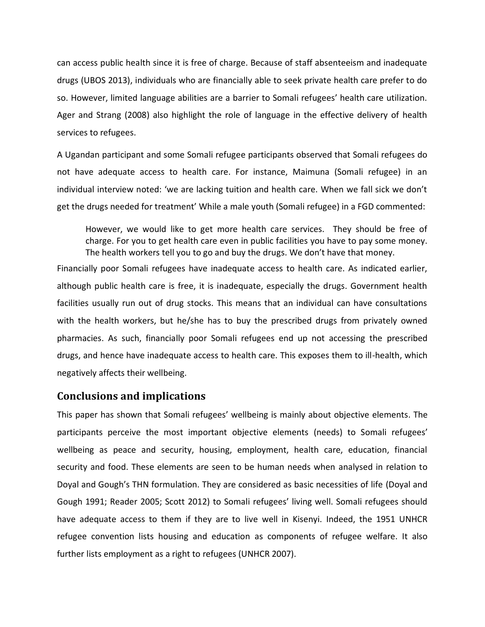can access public health since it is free of charge. Because of staff absenteeism and inadequate drugs (UBOS 2013), individuals who are financially able to seek private health care prefer to do so. However, limited language abilities are a barrier to Somali refugees' health care utilization. Ager and Strang (2008) also highlight the role of language in the effective delivery of health services to refugees.

A Ugandan participant and some Somali refugee participants observed that Somali refugees do not have adequate access to health care. For instance, Maimuna (Somali refugee) in an individual interview noted: 'we are lacking tuition and health care. When we fall sick we don't get the drugs needed for treatment' While a male youth (Somali refugee) in a FGD commented:

However, we would like to get more health care services. They should be free of charge. For you to get health care even in public facilities you have to pay some money. The health workers tell you to go and buy the drugs. We don't have that money.

Financially poor Somali refugees have inadequate access to health care. As indicated earlier, although public health care is free, it is inadequate, especially the drugs. Government health facilities usually run out of drug stocks. This means that an individual can have consultations with the health workers, but he/she has to buy the prescribed drugs from privately owned pharmacies. As such, financially poor Somali refugees end up not accessing the prescribed drugs, and hence have inadequate access to health care. This exposes them to ill-health, which negatively affects their wellbeing.

## **Conclusions and implications**

This paper has shown that Somali refugees' wellbeing is mainly about objective elements. The participants perceive the most important objective elements (needs) to Somali refugees' wellbeing as peace and security, housing, employment, health care, education, financial security and food. These elements are seen to be human needs when analysed in relation to Doyal and Gough's THN formulation. They are considered as basic necessities of life (Doyal and Gough 1991; Reader 2005; Scott 2012) to Somali refugees' living well. Somali refugees should have adequate access to them if they are to live well in Kisenyi. Indeed, the 1951 UNHCR refugee convention lists housing and education as components of refugee welfare. It also further lists employment as a right to refugees (UNHCR 2007).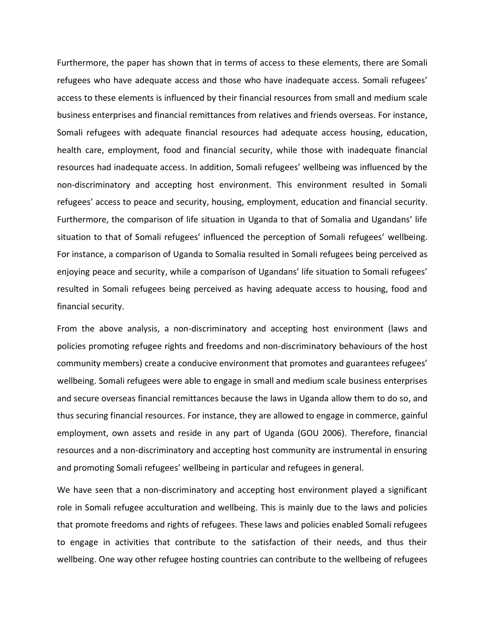Furthermore, the paper has shown that in terms of access to these elements, there are Somali refugees who have adequate access and those who have inadequate access. Somali refugees' access to these elements is influenced by their financial resources from small and medium scale business enterprises and financial remittances from relatives and friends overseas. For instance, Somali refugees with adequate financial resources had adequate access housing, education, health care, employment, food and financial security, while those with inadequate financial resources had inadequate access. In addition, Somali refugees' wellbeing was influenced by the non-discriminatory and accepting host environment. This environment resulted in Somali refugees' access to peace and security, housing, employment, education and financial security. Furthermore, the comparison of life situation in Uganda to that of Somalia and Ugandans' life situation to that of Somali refugees' influenced the perception of Somali refugees' wellbeing. For instance, a comparison of Uganda to Somalia resulted in Somali refugees being perceived as enjoying peace and security, while a comparison of Ugandans' life situation to Somali refugees' resulted in Somali refugees being perceived as having adequate access to housing, food and financial security.

From the above analysis, a non-discriminatory and accepting host environment (laws and policies promoting refugee rights and freedoms and non-discriminatory behaviours of the host community members) create a conducive environment that promotes and guarantees refugees' wellbeing. Somali refugees were able to engage in small and medium scale business enterprises and secure overseas financial remittances because the laws in Uganda allow them to do so, and thus securing financial resources. For instance, they are allowed to engage in commerce, gainful employment, own assets and reside in any part of Uganda (GOU 2006). Therefore, financial resources and a non-discriminatory and accepting host community are instrumental in ensuring and promoting Somali refugees' wellbeing in particular and refugees in general.

We have seen that a non-discriminatory and accepting host environment played a significant role in Somali refugee acculturation and wellbeing. This is mainly due to the laws and policies that promote freedoms and rights of refugees. These laws and policies enabled Somali refugees to engage in activities that contribute to the satisfaction of their needs, and thus their wellbeing. One way other refugee hosting countries can contribute to the wellbeing of refugees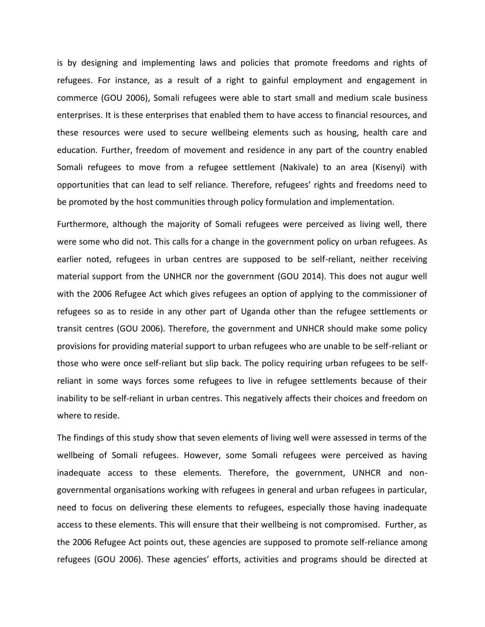is by designing and implementing laws and policies that promote freedoms and rights of refugees. For instance, as a result of a right to gainful employment and engagement in commerce (GOU 2006), Somali refugees were able to start small and medium scale business enterprises. It is these enterprises that enabled them to have access to financial resources, and these resources were used to secure wellbeing elements such as housing, health care and education. Further, freedom of movement and residence in any part of the country enabled Somali refugees to move from a refugee settlement (Nakivale) to an area (Kisenyi) with opportunities that can lead to self reliance. Therefore, refugees' rights and freedoms need to be promoted by the host communities through policy formulation and implementation.

Furthermore, although the majority of Somali refugees were perceived as living well, there were some who did not. This calls for a change in the government policy on urban refugees. As earlier noted, refugees in urban centres are supposed to be self-reliant, neither receiving material support from the UNHCR nor the government (GOU 2014). This does not augur well with the 2006 Refugee Act which gives refugees an option of applying to the commissioner of refugees so as to reside in any other part of Uganda other than the refugee settlements or transit centres (GOU 2006). Therefore, the government and UNHCR should make some policy provisions for providing material support to urban refugees who are unable to be self-reliant or those who were once self-reliant but slip back. The policy requiring urban refugees to be selfreliant in some ways forces some refugees to live in refugee settlements because of their inability to be self-reliant in urban centres. This negatively affects their choices and freedom on where to reside.

The findings of this study show that seven elements of living well were assessed in terms of the wellbeing of Somali refugees. However, some Somali refugees were perceived as having inadequate access to these elements. Therefore, the government, UNHCR and nongovernmental organisations working with refugees in general and urban refugees in particular, need to focus on delivering these elements to refugees, especially those having inadequate access to these elements. This will ensure that their wellbeing is not compromised. Further, as the 2006 Refugee Act points out, these agencies are supposed to promote self-reliance among refugees (GOU 2006). These agencies' efforts, activities and programs should be directed at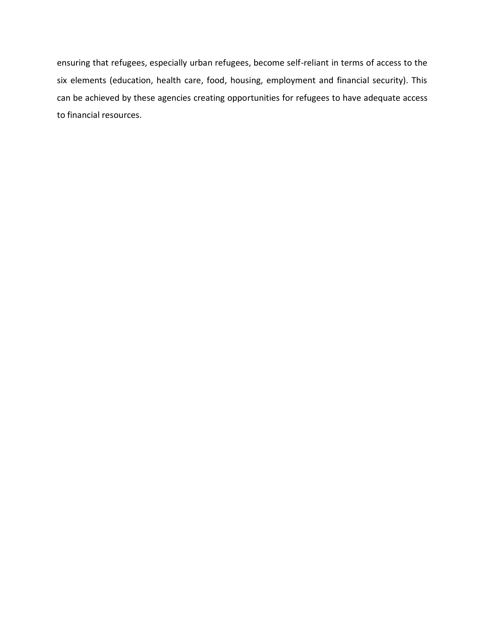ensuring that refugees, especially urban refugees, become self-reliant in terms of access to the six elements (education, health care, food, housing, employment and financial security). This can be achieved by these agencies creating opportunities for refugees to have adequate access to financial resources.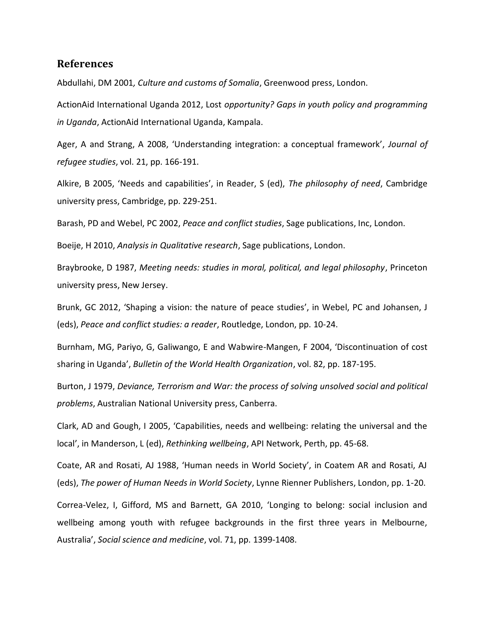## **References**

Abdullahi, DM 2001*, Culture and customs of Somalia*, Greenwood press, London.

ActionAid International Uganda 2012, Lost *opportunity? Gaps in youth policy and programming in Uganda*, ActionAid International Uganda, Kampala.

Ager, A and Strang, A 2008, 'Understanding integration: a conceptual framework', *Journal of refugee studies*, vol. 21, pp. 166-191.

Alkire, B 2005, 'Needs and capabilities', in Reader, S (ed), *The philosophy of need*, Cambridge university press, Cambridge, pp. 229-251.

Barash, PD and Webel, PC 2002, *Peace and conflict studies*, Sage publications, Inc, London.

Boeije, H 2010, *Analysis in Qualitative research*, Sage publications, London.

Braybrooke, D 1987, *Meeting needs: studies in moral, political, and legal philosophy*, Princeton university press, New Jersey.

Brunk, GC 2012, 'Shaping a vision: the nature of peace studies', in Webel, PC and Johansen, J (eds), *Peace and conflict studies: a reader*, Routledge, London, pp. 10-24.

Burnham, MG, Pariyo, G, Galiwango, E and Wabwire-Mangen, F 2004, 'Discontinuation of cost sharing in Uganda', *Bulletin of the World Health Organization*, vol. 82, pp. 187-195.

Burton, J 1979, *Deviance, Terrorism and War: the process of solving unsolved social and political problems*, Australian National University press, Canberra.

Clark, AD and Gough, I 2005, 'Capabilities, needs and wellbeing: relating the universal and the local', in Manderson, L (ed), *Rethinking wellbeing*, API Network, Perth, pp. 45-68.

Coate, AR and Rosati, AJ 1988, 'Human needs in World Society', in Coatem AR and Rosati, AJ (eds), *The power of Human Needs in World Society*, Lynne Rienner Publishers, London, pp. 1-20.

Correa-Velez, I, Gifford, MS and Barnett, GA 2010, 'Longing to belong: social inclusion and wellbeing among youth with refugee backgrounds in the first three years in Melbourne, Australia', *Social science and medicine*, vol. 71, pp. 1399-1408.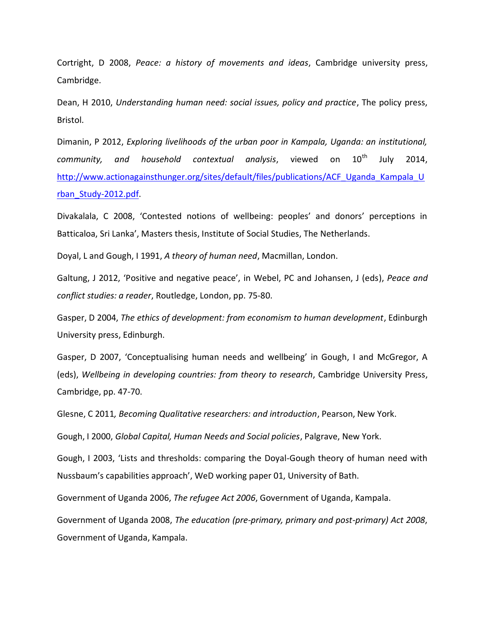Cortright, D 2008, *Peace: a history of movements and ideas*, Cambridge university press, Cambridge.

Dean, H 2010, *Understanding human need: social issues, policy and practice*, The policy press, Bristol.

Dimanin, P 2012, *Exploring livelihoods of the urban poor in Kampala, Uganda: an institutional, community, and household contextual analysis*, viewed on 10<sup>th</sup> July 2014, [http://www.actionagainsthunger.org/sites/default/files/publications/ACF\\_Uganda\\_Kampala\\_U](http://www.actionagainsthunger.org/sites/default/files/publications/ACF_Uganda_Kampala_Urban_Study-2012.pdf) [rban\\_Study-2012.pdf.](http://www.actionagainsthunger.org/sites/default/files/publications/ACF_Uganda_Kampala_Urban_Study-2012.pdf)

Divakalala, C 2008, 'Contested notions of wellbeing: peoples' and donors' perceptions in Batticaloa, Sri Lanka', Masters thesis, Institute of Social Studies, The Netherlands.

Doyal, L and Gough, I 1991, *A theory of human need*, Macmillan, London.

Galtung, J 2012, 'Positive and negative peace', in Webel, PC and Johansen, J (eds), *Peace and conflict studies: a reader*, Routledge, London, pp. 75-80.

Gasper, D 2004, *The ethics of development: from economism to human development*, Edinburgh University press, Edinburgh.

Gasper, D 2007, 'Conceptualising human needs and wellbeing' in Gough, I and McGregor, A (eds), *Wellbeing in developing countries: from theory to research*, Cambridge University Press, Cambridge, pp. 47-70.

Glesne, C 2011*, Becoming Qualitative researchers: and introduction*, Pearson, New York.

Gough, I 2000, *Global Capital, Human Needs and Social policies*, Palgrave, New York.

Gough, I 2003, 'Lists and thresholds: comparing the Doyal-Gough theory of human need with Nussbaum's capabilities approach', WeD working paper 01, University of Bath.

Government of Uganda 2006, *The refugee Act 2006*, Government of Uganda, Kampala.

Government of Uganda 2008, *The education (pre-primary, primary and post-primary) Act 2008*, Government of Uganda, Kampala.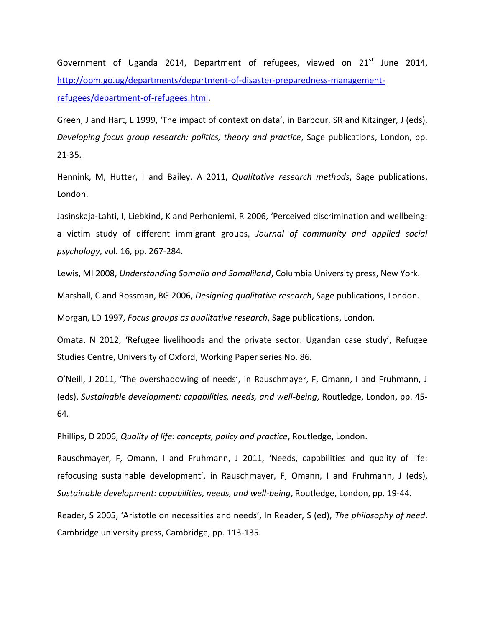Government of Uganda 2014, Department of refugees, viewed on  $21<sup>st</sup>$  June 2014, [http://opm.go.ug/departments/department-of-disaster-preparedness-management](http://opm.go.ug/departments/department-of-disaster-preparedness-management-refugees/department-of-refugees.html)[refugees/department-of-refugees.html.](http://opm.go.ug/departments/department-of-disaster-preparedness-management-refugees/department-of-refugees.html)

Green, J and Hart, L 1999, 'The impact of context on data', in Barbour, SR and Kitzinger, J (eds), *Developing focus group research: politics, theory and practice*, Sage publications, London, pp. 21-35.

Hennink, M, Hutter, I and Bailey, A 2011, *Qualitative research methods*, Sage publications, London.

Jasinskaja-Lahti, I, Liebkind, K and Perhoniemi, R 2006, 'Perceived discrimination and wellbeing: a victim study of different immigrant groups, *Journal of community and applied social psychology*, vol. 16, pp. 267-284.

Lewis, MI 2008, *Understanding Somalia and Somaliland*, Columbia University press, New York.

Marshall, C and Rossman, BG 2006, *Designing qualitative research*, Sage publications, London.

Morgan, LD 1997, *Focus groups as qualitative research*, Sage publications, London.

Omata, N 2012, 'Refugee livelihoods and the private sector: Ugandan case study', Refugee Studies Centre, University of Oxford, Working Paper series No. 86.

O'Neill, J 2011, 'The overshadowing of needs', in Rauschmayer, F, Omann, I and Fruhmann, J (eds), *Sustainable development: capabilities, needs, and well-being*, Routledge, London, pp. 45- 64.

Phillips, D 2006, *Quality of life: concepts, policy and practice*, Routledge, London.

Rauschmayer, F, Omann, I and Fruhmann, J 2011, 'Needs, capabilities and quality of life: refocusing sustainable development', in Rauschmayer, F, Omann, I and Fruhmann, J (eds), *Sustainable development: capabilities, needs, and well-being*, Routledge, London, pp. 19-44.

Reader, S 2005, 'Aristotle on necessities and needs', In Reader, S (ed), *The philosophy of need*. Cambridge university press, Cambridge, pp. 113-135.